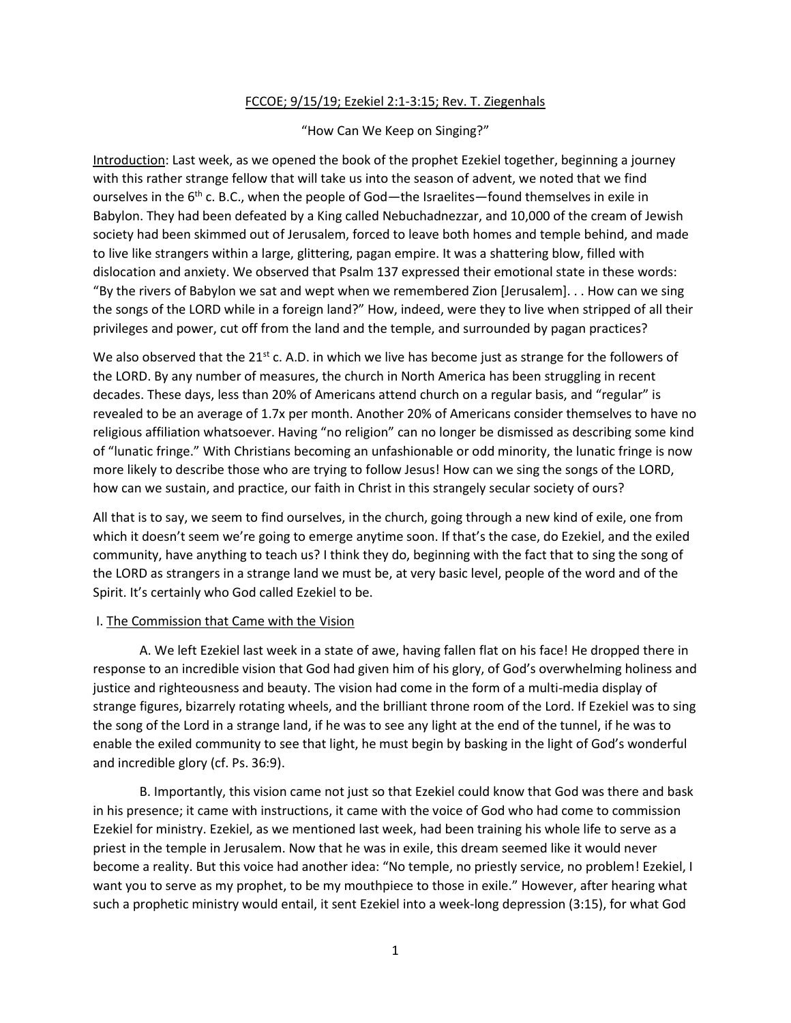## FCCOE; 9/15/19; Ezekiel 2:1-3:15; Rev. T. Ziegenhals

## "How Can We Keep on Singing?"

Introduction: Last week, as we opened the book of the prophet Ezekiel together, beginning a journey with this rather strange fellow that will take us into the season of advent, we noted that we find ourselves in the  $6<sup>th</sup>$  c. B.C., when the people of God—the Israelites—found themselves in exile in Babylon. They had been defeated by a King called Nebuchadnezzar, and 10,000 of the cream of Jewish society had been skimmed out of Jerusalem, forced to leave both homes and temple behind, and made to live like strangers within a large, glittering, pagan empire. It was a shattering blow, filled with dislocation and anxiety. We observed that Psalm 137 expressed their emotional state in these words: "By the rivers of Babylon we sat and wept when we remembered Zion [Jerusalem]. . . How can we sing the songs of the LORD while in a foreign land?" How, indeed, were they to live when stripped of all their privileges and power, cut off from the land and the temple, and surrounded by pagan practices?

We also observed that the  $21^{st}$  c. A.D. in which we live has become just as strange for the followers of the LORD. By any number of measures, the church in North America has been struggling in recent decades. These days, less than 20% of Americans attend church on a regular basis, and "regular" is revealed to be an average of 1.7x per month. Another 20% of Americans consider themselves to have no religious affiliation whatsoever. Having "no religion" can no longer be dismissed as describing some kind of "lunatic fringe." With Christians becoming an unfashionable or odd minority, the lunatic fringe is now more likely to describe those who are trying to follow Jesus! How can we sing the songs of the LORD, how can we sustain, and practice, our faith in Christ in this strangely secular society of ours?

All that is to say, we seem to find ourselves, in the church, going through a new kind of exile, one from which it doesn't seem we're going to emerge anytime soon. If that's the case, do Ezekiel, and the exiled community, have anything to teach us? I think they do, beginning with the fact that to sing the song of the LORD as strangers in a strange land we must be, at very basic level, people of the word and of the Spirit. It's certainly who God called Ezekiel to be.

## I. The Commission that Came with the Vision

A. We left Ezekiel last week in a state of awe, having fallen flat on his face! He dropped there in response to an incredible vision that God had given him of his glory, of God's overwhelming holiness and justice and righteousness and beauty. The vision had come in the form of a multi-media display of strange figures, bizarrely rotating wheels, and the brilliant throne room of the Lord. If Ezekiel was to sing the song of the Lord in a strange land, if he was to see any light at the end of the tunnel, if he was to enable the exiled community to see that light, he must begin by basking in the light of God's wonderful and incredible glory (cf. Ps. 36:9).

B. Importantly, this vision came not just so that Ezekiel could know that God was there and bask in his presence; it came with instructions, it came with the voice of God who had come to commission Ezekiel for ministry. Ezekiel, as we mentioned last week, had been training his whole life to serve as a priest in the temple in Jerusalem. Now that he was in exile, this dream seemed like it would never become a reality. But this voice had another idea: "No temple, no priestly service, no problem! Ezekiel, I want you to serve as my prophet, to be my mouthpiece to those in exile." However, after hearing what such a prophetic ministry would entail, it sent Ezekiel into a week-long depression (3:15), for what God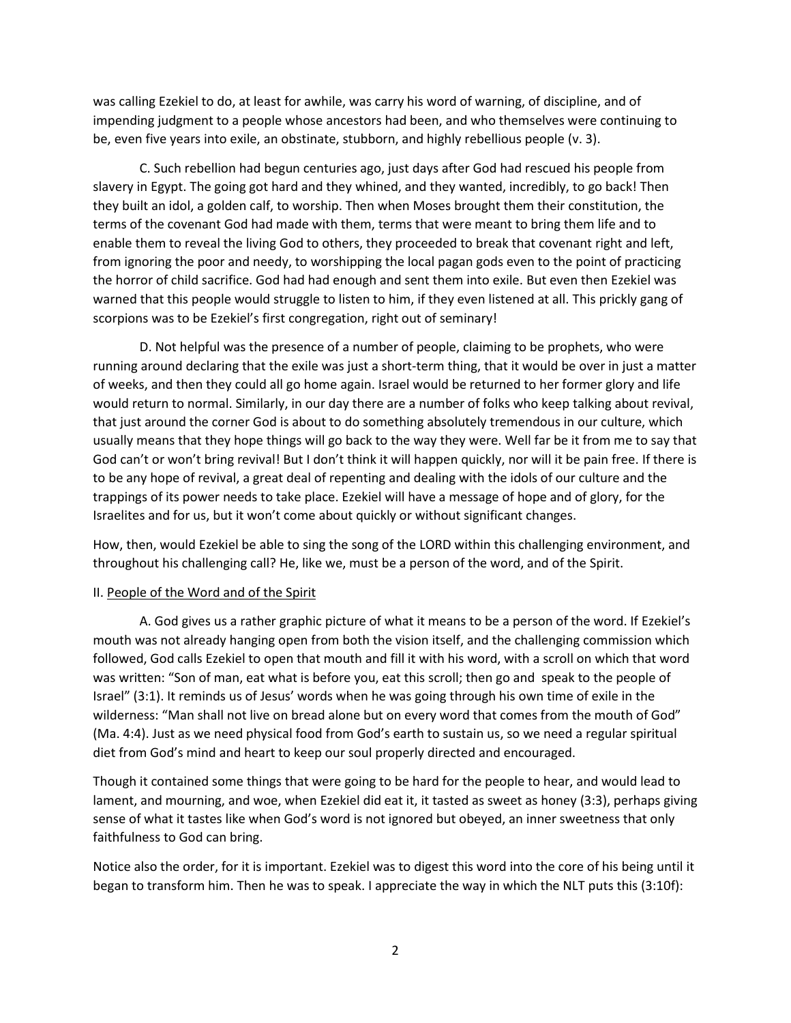was calling Ezekiel to do, at least for awhile, was carry his word of warning, of discipline, and of impending judgment to a people whose ancestors had been, and who themselves were continuing to be, even five years into exile, an obstinate, stubborn, and highly rebellious people (v. 3).

C. Such rebellion had begun centuries ago, just days after God had rescued his people from slavery in Egypt. The going got hard and they whined, and they wanted, incredibly, to go back! Then they built an idol, a golden calf, to worship. Then when Moses brought them their constitution, the terms of the covenant God had made with them, terms that were meant to bring them life and to enable them to reveal the living God to others, they proceeded to break that covenant right and left, from ignoring the poor and needy, to worshipping the local pagan gods even to the point of practicing the horror of child sacrifice. God had had enough and sent them into exile. But even then Ezekiel was warned that this people would struggle to listen to him, if they even listened at all. This prickly gang of scorpions was to be Ezekiel's first congregation, right out of seminary!

D. Not helpful was the presence of a number of people, claiming to be prophets, who were running around declaring that the exile was just a short-term thing, that it would be over in just a matter of weeks, and then they could all go home again. Israel would be returned to her former glory and life would return to normal. Similarly, in our day there are a number of folks who keep talking about revival, that just around the corner God is about to do something absolutely tremendous in our culture, which usually means that they hope things will go back to the way they were. Well far be it from me to say that God can't or won't bring revival! But I don't think it will happen quickly, nor will it be pain free. If there is to be any hope of revival, a great deal of repenting and dealing with the idols of our culture and the trappings of its power needs to take place. Ezekiel will have a message of hope and of glory, for the Israelites and for us, but it won't come about quickly or without significant changes.

How, then, would Ezekiel be able to sing the song of the LORD within this challenging environment, and throughout his challenging call? He, like we, must be a person of the word, and of the Spirit.

## II. People of the Word and of the Spirit

A. God gives us a rather graphic picture of what it means to be a person of the word. If Ezekiel's mouth was not already hanging open from both the vision itself, and the challenging commission which followed, God calls Ezekiel to open that mouth and fill it with his word, with a scroll on which that word was written: "Son of man, eat what is before you, eat this scroll; then go and speak to the people of Israel" (3:1). It reminds us of Jesus' words when he was going through his own time of exile in the wilderness: "Man shall not live on bread alone but on every word that comes from the mouth of God" (Ma. 4:4). Just as we need physical food from God's earth to sustain us, so we need a regular spiritual diet from God's mind and heart to keep our soul properly directed and encouraged.

Though it contained some things that were going to be hard for the people to hear, and would lead to lament, and mourning, and woe, when Ezekiel did eat it, it tasted as sweet as honey (3:3), perhaps giving sense of what it tastes like when God's word is not ignored but obeyed, an inner sweetness that only faithfulness to God can bring.

Notice also the order, for it is important. Ezekiel was to digest this word into the core of his being until it began to transform him. Then he was to speak. I appreciate the way in which the NLT puts this (3:10f):